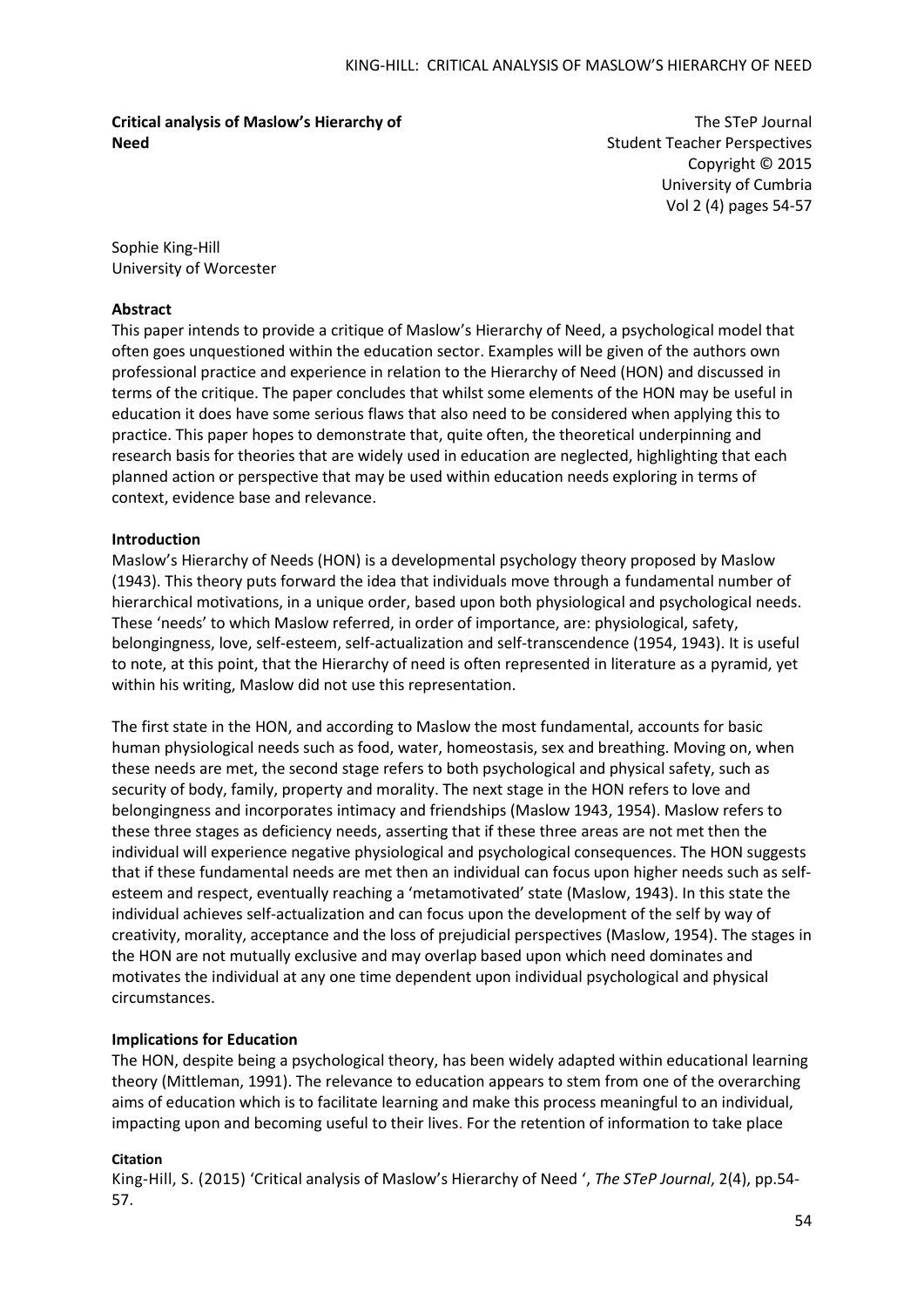**Critical analysis of Maslow's Hierarchy of Need**

The STeP Journal Student Teacher Perspectives Copyright © 2015 University of Cumbria Vol 2 (4) pages 54-57

Sophie King-Hill University of Worcester

## **Abstract**

This paper intends to provide a critique of Maslow's Hierarchy of Need, a psychological model that often goes unquestioned within the education sector. Examples will be given of the authors own professional practice and experience in relation to the Hierarchy of Need (HON) and discussed in terms of the critique. The paper concludes that whilst some elements of the HON may be useful in education it does have some serious flaws that also need to be considered when applying this to practice. This paper hopes to demonstrate that, quite often, the theoretical underpinning and research basis for theories that are widely used in education are neglected, highlighting that each planned action or perspective that may be used within education needs exploring in terms of context, evidence base and relevance.

## **Introduction**

Maslow's Hierarchy of Needs (HON) is a developmental psychology theory proposed by Maslow (1943). This theory puts forward the idea that individuals move through a fundamental number of hierarchical motivations, in a unique order, based upon both physiological and psychological needs. These 'needs' to which Maslow referred, in order of importance, are: physiological, safety, belongingness, love, self-esteem, self-actualization and self-transcendence (1954, 1943). It is useful to note, at this point, that the Hierarchy of need is often represented in literature as a pyramid, yet within his writing, Maslow did not use this representation.

The first state in the HON, and according to Maslow the most fundamental, accounts for basic human physiological needs such as food, water, homeostasis, sex and breathing. Moving on, when these needs are met, the second stage refers to both psychological and physical safety, such as security of body, family, property and morality. The next stage in the HON refers to love and belongingness and incorporates intimacy and friendships (Maslow 1943, 1954). Maslow refers to these three stages as deficiency needs, asserting that if these three areas are not met then the individual will experience negative physiological and psychological consequences. The HON suggests that if these fundamental needs are met then an individual can focus upon higher needs such as selfesteem and respect, eventually reaching a 'metamotivated' state (Maslow, 1943). In this state the individual achieves self-actualization and can focus upon the development of the self by way of creativity, morality, acceptance and the loss of prejudicial perspectives (Maslow, 1954). The stages in the HON are not mutually exclusive and may overlap based upon which need dominates and motivates the individual at any one time dependent upon individual psychological and physical circumstances.

# **Implications for Education**

The HON, despite being a psychological theory, has been widely adapted within educational learning theory (Mittleman, 1991). The relevance to education appears to stem from one of the overarching aims of education which is to facilitate learning and make this process meaningful to an individual, impacting upon and becoming useful to their lives. For the retention of information to take place

# **Citation**

King-Hill, S. (2015) 'Critical analysis of Maslow's Hierarchy of Need ', *The STeP Journal*, 2(4), pp.54- 57.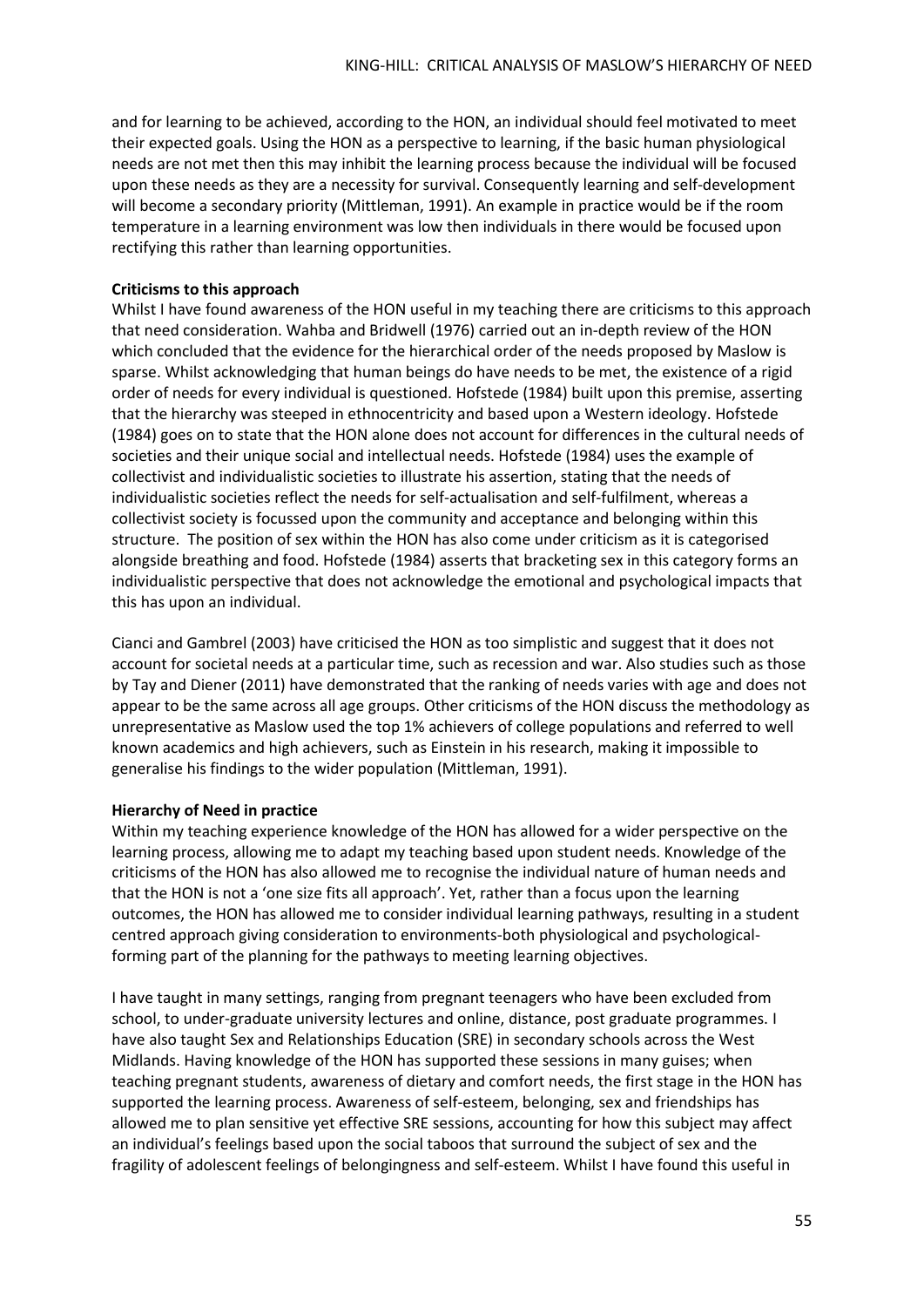and for learning to be achieved, according to the HON, an individual should feel motivated to meet their expected goals. Using the HON as a perspective to learning, if the basic human physiological needs are not met then this may inhibit the learning process because the individual will be focused upon these needs as they are a necessity for survival. Consequently learning and self-development will become a secondary priority (Mittleman, 1991). An example in practice would be if the room temperature in a learning environment was low then individuals in there would be focused upon rectifying this rather than learning opportunities.

# **Criticisms to this approach**

Whilst I have found awareness of the HON useful in my teaching there are criticisms to this approach that need consideration. Wahba and Bridwell (1976) carried out an in-depth review of the HON which concluded that the evidence for the hierarchical order of the needs proposed by Maslow is sparse. Whilst acknowledging that human beings do have needs to be met, the existence of a rigid order of needs for every individual is questioned. Hofstede (1984) built upon this premise, asserting that the hierarchy was steeped in ethnocentricity and based upon a Western ideology. Hofstede (1984) goes on to state that the HON alone does not account for differences in the cultural needs of societies and their unique social and intellectual needs. Hofstede (1984) uses the example of collectivist and individualistic societies to illustrate his assertion, stating that the needs of individualistic societies reflect the needs for self-actualisation and self-fulfilment, whereas a collectivist society is focussed upon the community and acceptance and belonging within this structure. The position of sex within the HON has also come under criticism as it is categorised alongside breathing and food. Hofstede (1984) asserts that bracketing sex in this category forms an individualistic perspective that does not acknowledge the emotional and psychological impacts that this has upon an individual.

Cianci and Gambrel (2003) have criticised the HON as too simplistic and suggest that it does not account for societal needs at a particular time, such as recession and war. Also studies such as those by Tay and Diener (2011) have demonstrated that the ranking of needs varies with age and does not appear to be the same across all age groups. Other criticisms of the HON discuss the methodology as unrepresentative as Maslow used the top 1% achievers of college populations and referred to well known academics and high achievers, such as Einstein in his research, making it impossible to generalise his findings to the wider population (Mittleman, 1991).

## **Hierarchy of Need in practice**

Within my teaching experience knowledge of the HON has allowed for a wider perspective on the learning process, allowing me to adapt my teaching based upon student needs. Knowledge of the criticisms of the HON has also allowed me to recognise the individual nature of human needs and that the HON is not a 'one size fits all approach'. Yet, rather than a focus upon the learning outcomes, the HON has allowed me to consider individual learning pathways, resulting in a student centred approach giving consideration to environments-both physiological and psychologicalforming part of the planning for the pathways to meeting learning objectives.

I have taught in many settings, ranging from pregnant teenagers who have been excluded from school, to under-graduate university lectures and online, distance, post graduate programmes. I have also taught Sex and Relationships Education (SRE) in secondary schools across the West Midlands. Having knowledge of the HON has supported these sessions in many guises; when teaching pregnant students, awareness of dietary and comfort needs, the first stage in the HON has supported the learning process. Awareness of self-esteem, belonging, sex and friendships has allowed me to plan sensitive yet effective SRE sessions, accounting for how this subject may affect an individual's feelings based upon the social taboos that surround the subject of sex and the fragility of adolescent feelings of belongingness and self-esteem. Whilst I have found this useful in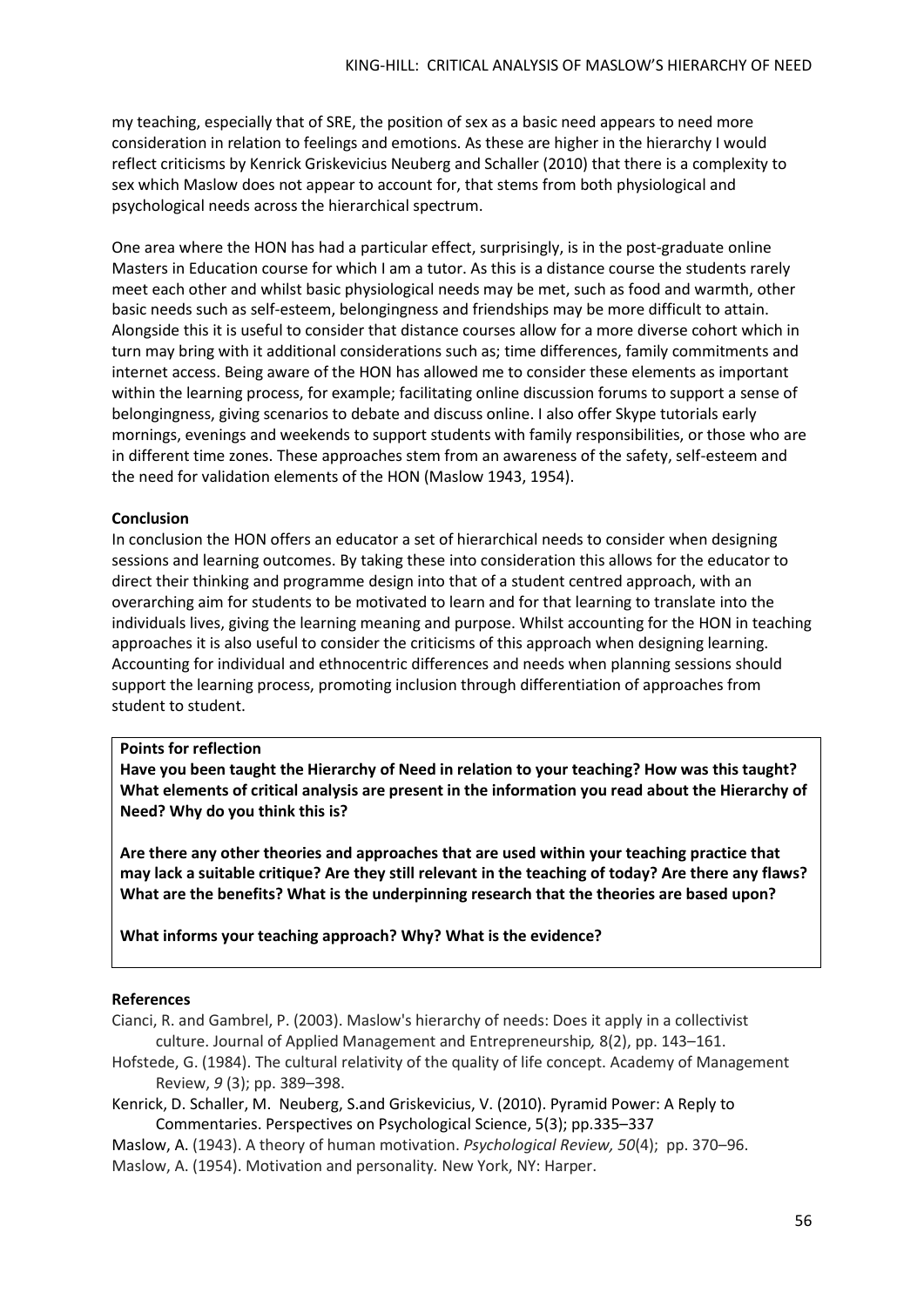my teaching, especially that of SRE, the position of sex as a basic need appears to need more consideration in relation to feelings and emotions. As these are higher in the hierarchy I would reflect criticisms by Kenrick Griskevicius Neuberg and Schaller (2010) that there is a complexity to sex which Maslow does not appear to account for, that stems from both physiological and psychological needs across the hierarchical spectrum.

One area where the HON has had a particular effect, surprisingly, is in the post-graduate online Masters in Education course for which I am a tutor. As this is a distance course the students rarely meet each other and whilst basic physiological needs may be met, such as food and warmth, other basic needs such as self-esteem, belongingness and friendships may be more difficult to attain. Alongside this it is useful to consider that distance courses allow for a more diverse cohort which in turn may bring with it additional considerations such as; time differences, family commitments and internet access. Being aware of the HON has allowed me to consider these elements as important within the learning process, for example; facilitating online discussion forums to support a sense of belongingness, giving scenarios to debate and discuss online. I also offer Skype tutorials early mornings, evenings and weekends to support students with family responsibilities, or those who are in different time zones. These approaches stem from an awareness of the safety, self-esteem and the need for validation elements of the HON (Maslow 1943, 1954).

## **Conclusion**

In conclusion the HON offers an educator a set of hierarchical needs to consider when designing sessions and learning outcomes. By taking these into consideration this allows for the educator to direct their thinking and programme design into that of a student centred approach, with an overarching aim for students to be motivated to learn and for that learning to translate into the individuals lives, giving the learning meaning and purpose. Whilst accounting for the HON in teaching approaches it is also useful to consider the criticisms of this approach when designing learning. Accounting for individual and ethnocentric differences and needs when planning sessions should support the learning process, promoting inclusion through differentiation of approaches from student to student.

## **Points for reflection**

**Have you been taught the Hierarchy of Need in relation to your teaching? How was this taught? What elements of critical analysis are present in the information you read about the Hierarchy of Need? Why do you think this is?**

**Are there any other theories and approaches that are used within your teaching practice that may lack a suitable critique? Are they still relevant in the teaching of today? Are there any flaws? What are the benefits? What is the underpinning research that the theories are based upon?** 

**What informs your teaching approach? Why? What is the evidence?**

## **References**

Cianci, R. and Gambrel, P. (2003). Maslow's hierarchy of needs: Does it apply in a collectivist culture. Journal of Applied Management and Entrepreneurship*,* 8(2), pp. 143–161.

- Hofstede, G. (1984). The cultural relativity of the quality of life concept. Academy of Management Review, *9* (3); pp. 389–398.
- Kenrick, D. Schaller, M. Neuberg, S.and Griskevicius, V. (2010). Pyramid Power: A Reply to Commentaries. Perspectives on Psychological Science, 5(3); pp.335–337
- [Maslow, A.](http://en.wikipedia.org/wiki/Abraham_Maslow) (1943). A theory of human motivation. *Psychological Review, 50*(4); pp. 370–96. Maslow, A. (1954). Motivation and personality*.* New York, NY: Harper.